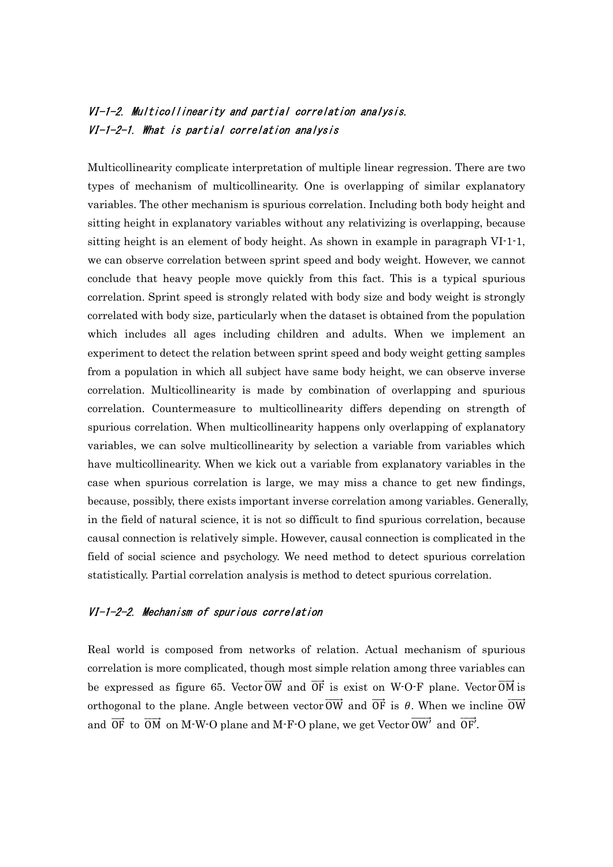## VI-1-2. Multicollinearity and partial correlation analysis. VI-1-2-1. What is partial correlation analysis

Multicollinearity complicate interpretation of multiple linear regression. There are two types of mechanism of multicollinearity. One is overlapping of similar explanatory variables. The other mechanism is spurious correlation. Including both body height and sitting height in explanatory variables without any relativizing is overlapping, because sitting height is an element of body height. As shown in example in paragraph VI-1-1, we can observe correlation between sprint speed and body weight. However, we cannot conclude that heavy people move quickly from this fact. This is a typical spurious correlation. Sprint speed is strongly related with body size and body weight is strongly correlated with body size, particularly when the dataset is obtained from the population which includes all ages including children and adults. When we implement an experiment to detect the relation between sprint speed and body weight getting samples from a population in which all subject have same body height, we can observe inverse correlation. Multicollinearity is made by combination of overlapping and spurious correlation. Countermeasure to multicollinearity differs depending on strength of spurious correlation. When multicollinearity happens only overlapping of explanatory variables, we can solve multicollinearity by selection a variable from variables which have multicollinearity. When we kick out a variable from explanatory variables in the case when spurious correlation is large, we may miss a chance to get new findings, because, possibly, there exists important inverse correlation among variables. Generally, in the field of natural science, it is not so difficult to find spurious correlation, because causal connection is relatively simple. However, causal connection is complicated in the field of social science and psychology. We need method to detect spurious correlation statistically. Partial correlation analysis is method to detect spurious correlation.

## VI-1-2-2. Mechanism of spurious correlation

Real world is composed from networks of relation. Actual mechanism of spurious correlation is more complicated, though most simple relation among three variables can be expressed as figure 65. Vector  $\overrightarrow{OW}$  and  $\overrightarrow{OF}$  is exist on W-O-F plane. Vector  $\overrightarrow{OM}$  is orthogonal to the plane. Angle between vector  $\overrightarrow{OW}$  and  $\overrightarrow{OF}$  is  $\theta$ . When we incline  $\overrightarrow{OW}$ and  $\overrightarrow{OF}$  to  $\overrightarrow{OM}$  on M-W-O plane and M-F-O plane, we get Vector  $\overrightarrow{OW'}$  and  $\overrightarrow{OF'}$ .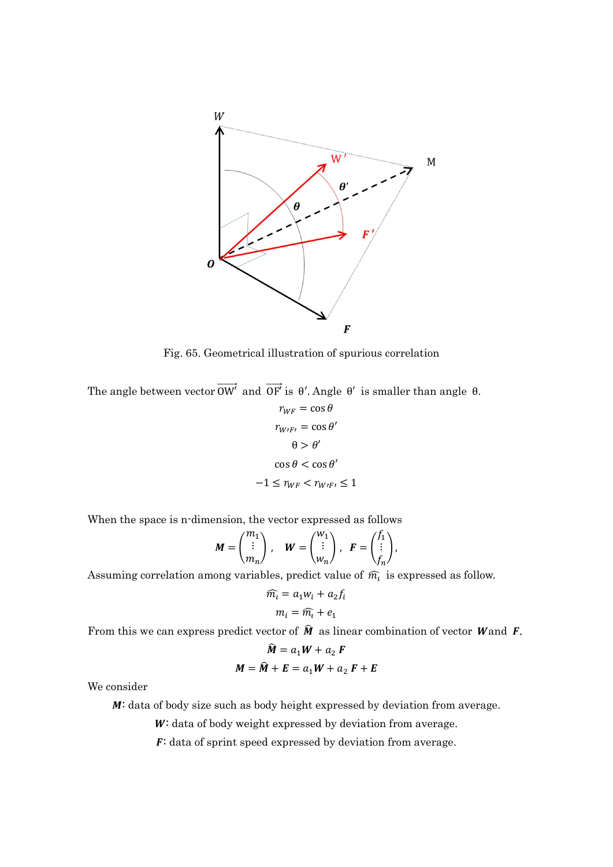

Fig. 65. Geometrical illustration of spurious correlation

The angle between vector  $\overrightarrow{OW'}$  and  $\overrightarrow{OF'}$  is  $\theta'$ . Angle  $\theta'$  is smaller than angle  $\theta$ .

$$
r_{WF} = \cos \theta
$$

$$
r_{W/F'} = \cos \theta'
$$

$$
\theta > \theta'
$$

$$
\cos \theta < \cos \theta'
$$

$$
-1 \le r_{WF} < r_{W/F'} \le 1
$$

When the space is n-dimension, the vector expressed as follows

$$
M = \begin{pmatrix} m_1 \\ \vdots \\ m_n \end{pmatrix}, \quad W = \begin{pmatrix} w_1 \\ \vdots \\ w_n \end{pmatrix}, \quad F = \begin{pmatrix} f_1 \\ \vdots \\ f_n \end{pmatrix},
$$

Assuming correlation among variables, predict value of  $\widehat{m_{\iota}}$  is expressed as follow.

$$
\widehat{m_i} = a_1 w_i + a_2 f_i
$$

$$
m_i = \widehat{m_i} + e_1
$$

From this we can express predict vector of  $\hat{M}$  as linear combination of vector Wand F.

$$
\widehat{M} = a_1 W + a_2 F
$$

$$
M = \widehat{M} + E = a_1 W + a_2 F + E
$$

We consider

M: data of body size such as body height expressed by deviation from average.

W: data of body weight expressed by deviation from average.

F: data of sprint speed expressed by deviation from average.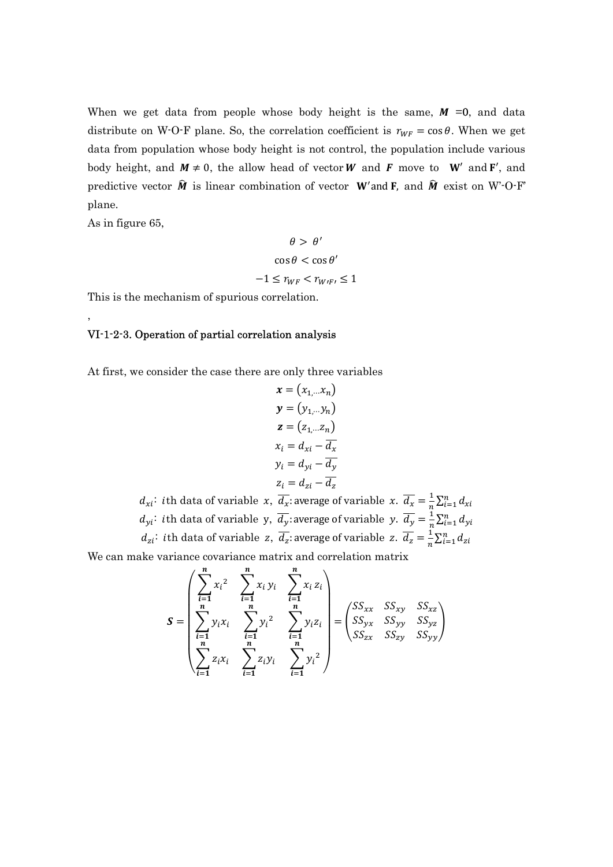When we get data from people whose body height is the same,  $M = 0$ , and data distribute on W-O-F plane. So, the correlation coefficient is  $r_{WF} = \cos \theta$ . When we get data from population whose body height is not control, the population include various body height, and  $M \neq 0$ , the allow head of vector W and F move to W' and F', and predictive vector  $\hat{M}$  is linear combination of vector W'and **F**, and  $\hat{M}$  exist on W<sup>-</sup>O-F' plane.

As in figure 65,

,

$$
\theta > \theta'
$$

$$
\cos \theta < \cos \theta'
$$

$$
-1 \le r_{WF} < r_{W/F'} \le 1
$$

This is the mechanism of spurious correlation.

## VI-1-2-3. Operation of partial correlation analysis

At first, we consider the case there are only three variables

$$
\mathbf{x} = (x_{1,\dots}x_n)
$$
  
\n
$$
\mathbf{y} = (y_{1,\dots}y_n)
$$
  
\n
$$
\mathbf{z} = (z_{1,\dots}z_n)
$$
  
\n
$$
x_i = d_{xi} - \overline{d_x}
$$
  
\n
$$
y_i = d_{yi} - \overline{d_y}
$$
  
\n
$$
z_i = d_{zi} - \overline{d_z}
$$

 $d_{xi}$ : ith data of variable x,  $\overline{d_x}$ : average of variable x.  $\overline{d_x} = \frac{1}{n}$  $\frac{1}{n}\sum_{i=1}^n d_{xi}$  $d_{yi}$ : ith data of variable y,  $\overline{d_{y}}$ : average of variable y.  $\overline{d_{y}} = \frac{1}{n}$  $\frac{1}{n}\sum_{i=1}^n d_{yi}$  $d_{zi}$ : *i*th data of variable z,  $\overline{d_z}$ : average of variable z.  $\overline{d_z} = \frac{1}{n}$  $rac{1}{n}\sum_{i=1}^n d_{zi}$ 

We can make variance covariance matrix and correlation matrix

$$
S = \begin{pmatrix} \sum_{i=1}^{n} x_i^2 & \sum_{i=1}^{n} x_i y_i & \sum_{i=1}^{n} x_i z_i \\ \sum_{i=1}^{n} y_i x_i & \sum_{i=1}^{n} y_i^2 & \sum_{i=1}^{n} y_i z_i \\ \sum_{i=1}^{n} z_i x_i & \sum_{i=1}^{n} z_i y_i & \sum_{i=1}^{n} y_i^2 \end{pmatrix} = \begin{pmatrix} SS_{xx} & SS_{xy} & SS_{xz} \\ SS_{yx} & SS_{yy} & SS_{yz} \\ SS_{zx} & SS_{zy} & SS_{yy} \end{pmatrix}
$$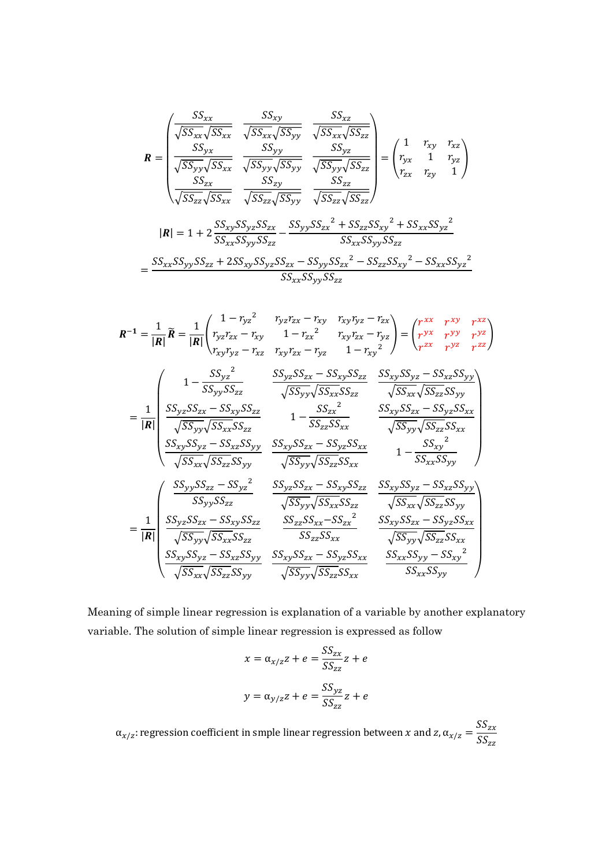$$
\mathbf{R} = \begin{pmatrix}\n\frac{SS_{xx}}{\sqrt{SS_{xx}}\sqrt{SS_{xx}}} & \frac{SS_{xy}}{\sqrt{SS_{xx}}\sqrt{SS_{yy}}} & \frac{SS_{xz}}{\sqrt{SS_{xx}}\sqrt{SS_{zz}}}\n\frac{SS_{yx}}{\sqrt{SS_{yy}}\sqrt{SS_{yy}}} & \frac{SS_{yz}}{\sqrt{SS_{yy}}\sqrt{SS_{zz}}}\n\frac{SS_{yy}}{\sqrt{SS_{yy}}\sqrt{SS_{yz}}} & \frac{SS_{yz}}{\sqrt{SS_{yy}}\sqrt{SS_{zz}}}\n\frac{SS_{zx}}{\sqrt{SS_{zz}}\sqrt{SS_{yy}}} & \frac{SS_{zz}}{\sqrt{SS_{zz}}\sqrt{SS_{zz}}}\n\frac{SS_{zz}}{\sqrt{SS_{zz}}\sqrt{SS_{zz}}}\n\frac{SS_{zz}}{\sqrt{SS_{zz}}\sqrt{SS_{zz}}}\n\frac{1}{\sqrt{SS_{zz}}\sqrt{SS_{zz}}}\n\frac{1}{\sqrt{SS_{xx}}\sqrt{SS_{yy}}\sqrt{SS_{zz}}}\n\frac{1}{\sqrt{SS_{xx}}\sqrt{SS_{yy}}\sqrt{SS_{zz}}}\n\frac{1}{\sqrt{SS_{xx}}\sqrt{SS_{yy}}\sqrt{SS_{zz}}}\n\frac{1}{\sqrt{SS_{xx}}\sqrt{SS_{yy}}\sqrt{SS_{zz}}}\n\frac{1}{\sqrt{SS_{xx}}\sqrt{SS_{yy}}\sqrt{SS_{zz}}}\n\frac{1}{\sqrt{SS_{xx}}\sqrt{SS_{yy}}\sqrt{SS_{zz}}}\n\frac{1}{\sqrt{SS_{xx}}\sqrt{SS_{yy}}\sqrt{SS_{zz}}}\n\frac{1}{\sqrt{SS_{xx}}\sqrt{SS_{yy}}\sqrt{SS_{zz}}}\n\frac{1}{\sqrt{SS_{xx}}\sqrt{SS_{yy}}\sqrt{SS_{zz}}}\n\frac{1}{\sqrt{SS_{xx}}\sqrt{SS_{yy}}\sqrt{SS_{zz}}}\n\frac{1}{\sqrt{SS_{xx}}\sqrt{SS_{yy}}\sqrt{SS_{zz}}}\n\frac{1}{\sqrt{SS_{xx}}\sqrt{SS_{yy}}\sqrt{SS_{zz}}}\n\frac{1}{\sqrt{SS_{xx}}\sqrt{SS_{yy}}}\n\frac{1}{\sqrt{SS_{zz}}\sqrt{SS_{zz}}}\n\frac{1}{\sqrt{SS_{zz}}\sqrt{SS_{zz}}}\n\frac{1}{\sqrt{SS_{zz}}\sqrt{SS_{zz}}}\n\frac{1}{\sqrt{SS_{zz}}\sqrt{SS_{zz}}}\n\frac{1}{\sqrt{SS_{zz}}\sqrt{SS_{zz}}}\n\frac{1}{\sqrt{SS_{zz}}\
$$

$$
R^{-1} = \frac{1}{|R|} \tilde{R} = \frac{1}{|R|} \left( \int_{r_{yz}r_{zx}}^{1 - r_{yz}r_{zx}} \int_{r_{xy}r_{zx}}^{r_{yz}r_{zx}} - r_{xy} \int_{r_{xy}r_{zx}}^{r_{xy}r_{yz}} - r_{zx} \int_{r_{zx}}^{r_{xy}} \int_{r_{yz}}^{r_{yz}} \int_{r_{zx}}^{r_{zy}} \int_{r_{yz}}^{r_{yz}} \int_{r_{zx}}^{r_{zy}} \int_{r_{yz}}^{r_{yz}} \int_{r_{zx}}^{r_{zy}} \int_{r_{zx}}^{r_{zy}} \int_{r_{zx}}^{r_{zy}} \int_{r_{zx}}^{r_{zy}} \int_{r_{zx}}^{r_{zy}} \int_{r_{zx}}^{r_{zy}} \int_{r_{zx}}^{r_{zy}} \int_{r_{zx}}^{r_{zy}} \int_{r_{zx}}^{r_{zy}} \int_{r_{zx}}^{r_{zy}} \int_{r_{zx}}^{r_{zy}} \int_{r_{zx}}^{r_{zy}} \int_{r_{zx}}^{r_{zy}} \int_{r_{zx}}^{r_{zy}} \int_{r_{zx}}^{r_{zy}} \int_{r_{zx}}^{r_{zy}} \int_{r_{zx}}^{r_{zy}} \int_{r_{zx}}^{r_{zy}} \int_{r_{zx}}^{r_{zy}} \int_{r_{zx}}^{r_{zy}} \int_{r_{zx}}^{r_{zy}} \int_{r_{zx}}^{r_{zy}} \int_{r_{zx}}^{r_{zy}} \int_{r_{zx}}^{r_{zy}} \int_{r_{zx}}^{r_{zy}} \int_{r_{zx}}^{r_{zy}} \int_{r_{zx}}^{r_{zx}} \int_{r_{zx}}^{r_{zx}} \int_{r_{zx}}^{r_{zx}} \int_{r_{zx}}^{r_{zx}} \int_{r_{zx}}^{r_{zx}} \int_{r_{zx}}^{r_{zx}} \int_{r_{zx}}^{r_{zx}} \int_{r_{zx}}^{r_{zx}} \int_{r_{zx}}^{r_{zx}} \int_{r_{zx}}^{r_{zx}} \int_{r_{zx}}^{r_{zx}} \int_{r_{zx}}^{r_{zx}} \int_{r_{zx}}^{r_{zx}} \int_{r_{zx}}^{r_{zx}} \int_{r_{zx}}^{r_{zx}} \int_{r_{zx}}^{r_{zx}} \int_{r_{zx}}^{r_{zx}} \int_{r_{zx}}^{r_{zx}} \int_{r_{zx}}^{r_{zx}} \int_{r_{zx}}^{r_{zx}} \int_{r_{zx}}^{r_{zx}} \int_{r_{zx}}^{r_{zx}} \int_{r_{zx
$$

Meaning of simple linear regression is explanation of a variable by another explanatory variable. The solution of simple linear regression is expressed as follow

$$
x = \alpha_{x/z} z + e = \frac{SS_{zx}}{SS_{zz}} z + e
$$

$$
y = \alpha_{y/z} z + e = \frac{SS_{yz}}{SS_{zz}} z + e
$$

 $\alpha_{x/z}$ : regression coefficient in smple linear regression between x and z,  $\alpha_{x/z} = \frac{SS_{zx}}{SS}$  $\mathit{SS}_{\rm zz}$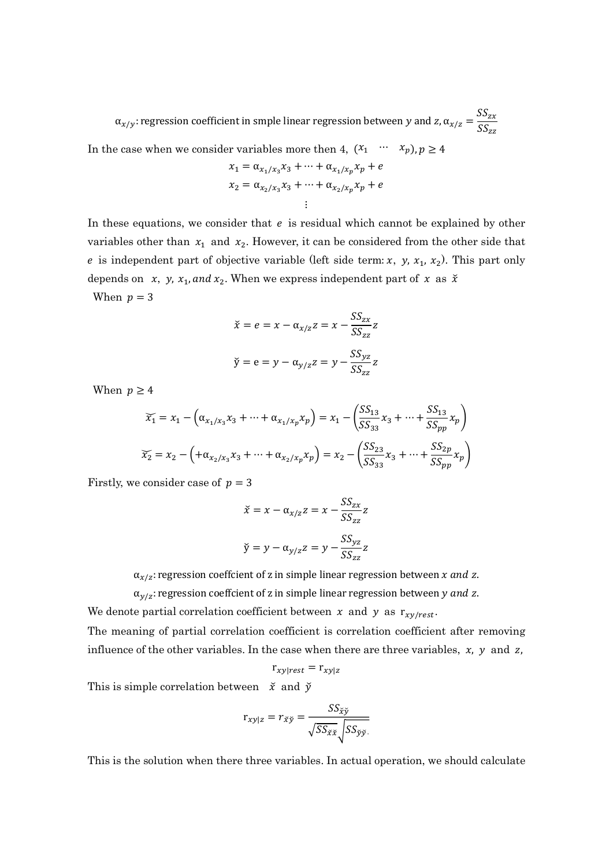$\alpha_{x/y}$ : regression coefficient in smple linear regression between y and z,  $\alpha_{x/z} = \frac{SS_{zx}}{SS}$  $SS_{zz}$ 

In the case when we consider variables more then 4,  $(x_1 \cdots x_p), p \ge 4$ 

$$
x_1 = \alpha_{x_1/x_3} x_3 + \dots + \alpha_{x_1/x_p} x_p + e
$$
  

$$
x_2 = \alpha_{x_2/x_3} x_3 + \dots + \alpha_{x_2/x_p} x_p + e
$$
  
...

In these equations, we consider that  $e$  is residual which cannot be explained by other variables other than  $x_1$  and  $x_2$ . However, it can be considered from the other side that e is independent part of objective variable (left side term: x, y,  $x_1$ ,  $x_2$ ). This part only depends on  $x$ ,  $y$ ,  $x_1$ , and  $x_2$ . When we express independent part of  $x$  as  $\check{x}$ When  $p = 3$ 

$$
\check{x} = e = x - \alpha_{x/z} z = x - \frac{SS_{zx}}{SS_{zz}} z
$$

$$
\check{y} = e = y - \alpha_{y/z} z = y - \frac{SS_{yz}}{SS_{zz}} z
$$

When  $p \geq 4$ 

$$
\overline{x_1} = x_1 - \left(\alpha_{x_1/x_3}x_3 + \dots + \alpha_{x_1/x_p}x_p\right) = x_1 - \left(\frac{SS_{13}}{SS_{33}}x_3 + \dots + \frac{SS_{13}}{SS_{pp}}x_p\right)
$$

$$
\overline{x_2} = x_2 - \left(+\alpha_{x_2/x_3}x_3 + \dots + \alpha_{x_2/x_p}x_p\right) = x_2 - \left(\frac{SS_{23}}{SS_{33}}x_3 + \dots + \frac{SS_{2p}}{SS_{pp}}x_p\right)
$$

Firstly, we consider case of  $p = 3$ 

$$
\check{x} = x - \alpha_{x/z} z = x - \frac{SS_{zx}}{SS_{zz}} z
$$

$$
\check{y} = y - \alpha_{y/z} z = y - \frac{SS_{yz}}{SS_{zz}} z
$$

 $\alpha_{x/z}$ : regression coeffcient of z in simple linear regression between  $x$  and  $z$ .

 $\alpha_{y/z}$ : regression coeffcient of z in simple linear regression between y and z.

We denote partial correlation coefficient between x and y as  $r_{xy/rest}$ .

The meaning of partial correlation coefficient is correlation coefficient after removing influence of the other variables. In the case when there are three variables,  $x$ ,  $y$  and  $z$ ,

$$
r_{xy|rest} = r_{xy|z}
$$

This is simple correlation between  $\check{x}$  and  $\check{y}$ 

$$
r_{xy|z} = r_{\tilde{z}\tilde{y}} = \frac{SS_{\tilde{x}\tilde{y}}}{\sqrt{SS_{\tilde{x}\tilde{x}}}\sqrt{SS_{\tilde{y}\tilde{y}}}}
$$

This is the solution when there three variables. In actual operation, we should calculate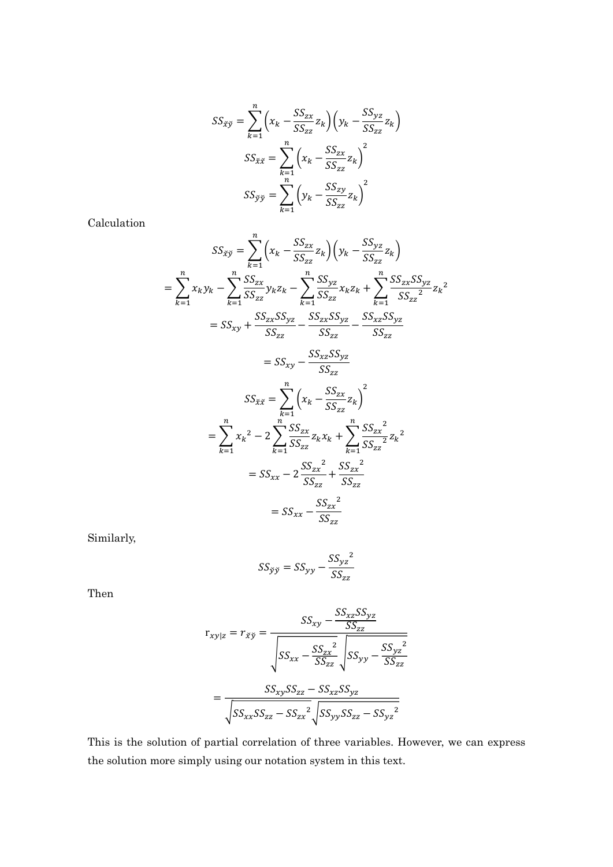$$
SS_{\tilde{X}\tilde{y}} = \sum_{k=1}^{n} \left( x_k - \frac{SS_{zx}}{SS_{zz}} z_k \right) \left( y_k - \frac{SS_{yz}}{SS_{zz}} z_k \right)
$$

$$
SS_{\tilde{X}\tilde{X}} = \sum_{k=1}^{n} \left( x_k - \frac{SS_{zx}}{SS_{zz}} z_k \right)^2
$$

$$
SS_{\tilde{y}\tilde{y}} = \sum_{k=1}^{n} \left( y_k - \frac{SS_{zy}}{SS_{zz}} z_k \right)^2
$$

Calculation

$$
SS_{\tilde{X}\tilde{y}} = \sum_{k=1}^{n} \left( x_k - \frac{SS_{zx}}{SS_{zz}} z_k \right) \left( y_k - \frac{SS_{yz}}{SS_{zz}} z_k \right)
$$
  
\n
$$
= \sum_{k=1}^{n} x_k y_k - \sum_{k=1}^{n} \frac{SS_{zx}}{SS_{zz}} y_k z_k - \sum_{k=1}^{n} \frac{SS_{yz}}{SS_{zz}} x_k z_k + \sum_{k=1}^{n} \frac{SS_{zx}SS_{yz}}{SS_{zz}^2} z_k^2
$$
  
\n
$$
= SS_{xy} + \frac{SS_{zx}SS_{yz}}{SS_{zz}} - \frac{SS_{xx}SS_{yz}}{SS_{zz}} - \frac{SS_{xz}SS_{yz}}{SS_{zz}}
$$
  
\n
$$
= SS_{xy} - \frac{SS_{xz}SS_{yz}}{SS_{zz}}
$$
  
\n
$$
SS_{\tilde{X}\tilde{X}} = \sum_{k=1}^{n} \left( x_k - \frac{SS_{zx}}{SS_{zz}} z_k \right)^2
$$
  
\n
$$
= \sum_{k=1}^{n} x_k^2 - 2 \sum_{k=1}^{n} \frac{SS_{zx}}{SS_{zz}} z_k x_k + \sum_{k=1}^{n} \frac{SS_{zx}^2}{SS_{zz}} z_k^2
$$
  
\n
$$
= SS_{xx} - 2 \frac{SS_{zx}^2}{SS_{zz}} + \frac{SS_{zx}^2}{SS_{zz}}
$$
  
\n
$$
= SS_{xx} - \frac{SS_{zx}^2}{SS_{zz}}
$$

Similarly,

$$
SS_{\check{y}\check{y}} = SS_{yy} - \frac{SS_{yz}^2}{SS_{zz}}
$$

Then

$$
r_{xy|z} = r_{\tilde{xy}} = \frac{SS_{xy} - \frac{SS_{xz}SS_{yz}}{SS_{zz}}}{\sqrt{SS_{xx} - \frac{SS_{zx}^2}{SS_{zz}}}\sqrt{SS_{yy} - \frac{SS_{yz}^2}{SS_{zz}}}}
$$

$$
= \frac{SS_{xy}SS_{zz} - SS_{xz}SS_{yz}}{\sqrt{SS_{xx}SS_{zz} - SS_{zx}^2}\sqrt{SS_{yy}SS_{zz} - SS_{yz}^2}}
$$

This is the solution of partial correlation of three variables. However, we can express the solution more simply using our notation system in this text.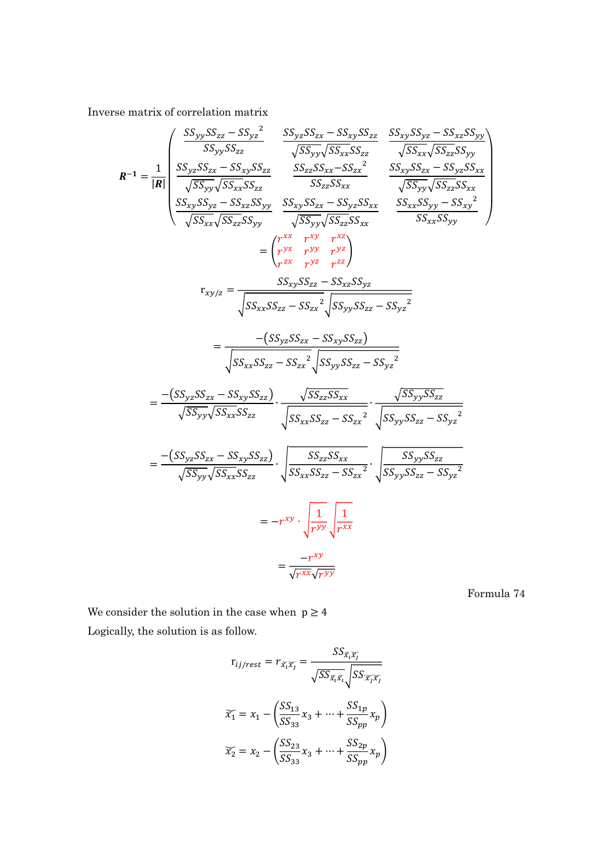Inverse matrix of correlation matrix

ଶ

$$
R^{-1} = \frac{1}{|R|} \begin{pmatrix} \frac{SS_{yy}SS_{zz} - SS_{yz}^2}{SS_{yy}SS_{zz}} & \frac{SS_{yz}SS_{zx} - SS_{xy}SS_{zz}}{\sqrt{SS_{yy}}\sqrt{SS_{xx}}SS_{zz}} & \frac{SS_{xy}SS_{yz} - SS_{xz}SS_{yy}}{\sqrt{SS_{xx}}\sqrt{SS_{zx}}}\end{pmatrix}
$$
  
\n
$$
R^{-1} = \frac{1}{|R|} \begin{pmatrix} \frac{SS_{yz}SS_{zx} - SS_{xy}S_{zz}}{\sqrt{SS_{xx}}SS_{zz}} & \frac{SS_{zz}SS_{xx} - SS_{xx}}{\sqrt{SS_{xx}}SS_{xx}} & \frac{SS_{xy}SS_{zx} - SS_{yz}SS_{xx}}{\sqrt{SS_{yy}}\sqrt{SS_{zz}}SS_{yy}} & \frac{SS_{xy}SS_{zx} - SS_{xy}SS_{xx}}{\sqrt{SS_{xy}}\sqrt{SS_{zz}}SS_{yy}} & \frac{SS_{xx}SS_{yy} - SS_{xy}}{\sqrt{SS_{xx}}\sqrt{SS_{zz}}SS_{yy}}\end{pmatrix}
$$
  
\n
$$
= \begin{pmatrix} r^{xx} & r^{xy} & r^{yz} \\ r^{zx} & r^{yy} & r^{zz} \\ r^{zx} & r^{yz} & r^{zz} \end{pmatrix}
$$
  
\n
$$
r_{xy/z} = \frac{SS_{xx}SS_{zz} - SS_{xx}S_{yz}}{\sqrt{SS_{xx}SS_{zz} - SS_{xx}^2}\sqrt{SS_{yy}SS_{zz} - SS_{yz}^2}} = \frac{-(SS_{yx}SS_{xx} - SS_{xy}SS_{zz})}{\sqrt{SS_{xx}SS_{zz} - SS_{xx}^2}\sqrt{SS_{yy}SS_{zz} - SS_{yz}^2}} = \frac{-(SS_{yz}SS_{xx} - SS_{xy}SS_{zz})}{\sqrt{SS_{yy}\sqrt{SS_{xx}}SS_{zz}}}\cdot \frac{\sqrt{SS_{zz}SS_{xx}}}{\sqrt{SS_{yy}SS_{zz} - SS_{xy}^2}} \cdot \frac{\sqrt{SS_{yy}SS_{zz} - SS_{yz}^2}}{\sqrt{SS_{yy}SS_{zx} - SS_{yz}^2}} = \frac{-(SS_{yz}SS_{xx} - SS_{xy}SS_{zz})}{\sqrt{SS_{yy}\sqrt{SS_{xx}}SS_{zz}}}\cdot \frac{SS_{xy}SS_{zz} - SS_{xy}^2}{\sqrt{SS_{yy}SS_{zx} - SS_{yz}^2}} = -r^{xy} \cdot \sqrt{\frac{1}{r^{yy}}\sqrt{r^{
$$

Formula 74

We consider the solution in the case when  $p \geq 4$ Logically, the solution is as follow.

$$
r_{ij/rest} = r_{\tilde{x}_i \tilde{x}_j} = \frac{SS_{\tilde{x}_i \tilde{x}_j}}{\sqrt{SS_{\tilde{x}_i \tilde{x}_i}} \sqrt{SS_{\tilde{x}_j \tilde{x}_j}}}
$$

$$
\tilde{x}_1 = x_1 - \left(\frac{SS_{13}}{SS_{33}}x_3 + \dots + \frac{SS_{1p}}{SS_{pp}}x_p\right)
$$

$$
\tilde{x}_2 = x_2 - \left(\frac{SS_{23}}{SS_{33}}x_3 + \dots + \frac{SS_{2p}}{SS_{pp}}x_p\right)
$$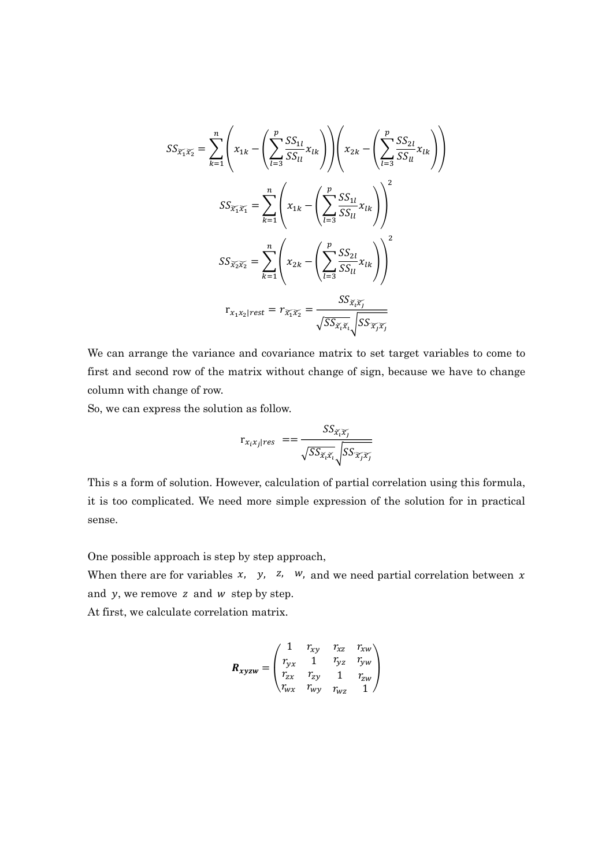$$
SS_{\widetilde{x_1}\widetilde{x_2}} = \sum_{k=1}^{n} \left( x_{1k} - \left( \sum_{l=3}^{p} \frac{SS_{1l}}{SS_{ll}} x_{lk} \right) \right) \left( x_{2k} - \left( \sum_{l=3}^{p} \frac{SS_{2l}}{SS_{ll}} x_{lk} \right) \right)
$$

$$
SS_{\widetilde{x_1}\widetilde{x_1}} = \sum_{k=1}^{n} \left( x_{1k} - \left( \sum_{l=3}^{p} \frac{SS_{1l}}{SS_{ll}} x_{lk} \right) \right)^2
$$

$$
SS_{\widetilde{x_2}\widetilde{x_2}} = \sum_{k=1}^{n} \left( x_{2k} - \left( \sum_{l=3}^{p} \frac{SS_{2l}}{SS_{ll}} x_{lk} \right) \right)^2
$$

$$
r_{x_1x_2|rest} = r_{\widetilde{x_1}\widetilde{x_2}} = \frac{SS_{\widetilde{x_i}\widetilde{x_l}}}{\sqrt{SS_{\widetilde{x_i}\widetilde{x_i}}}\sqrt{SS_{\widetilde{x_j}\widetilde{x_j}}}}
$$

We can arrange the variance and covariance matrix to set target variables to come to first and second row of the matrix without change of sign, because we have to change column with change of row.

So, we can express the solution as follow.

$$
\mathbf{r}_{x_ix_j|res} = = \frac{SS_{\tilde{x}_i\tilde{x}_j}}{\sqrt{SS_{\tilde{x}_i\tilde{x}_i}}}\sqrt{SS_{\tilde{x}_j\tilde{x}_j}}
$$

This s a form of solution. However, calculation of partial correlation using this formula, it is too complicated. We need more simple expression of the solution for in practical sense.

One possible approach is step by step approach,

When there are for variables  $x$ ,  $y$ ,  $z$ ,  $w$ , and we need partial correlation between  $x$ and  $y$ , we remove  $z$  and  $w$  step by step.

At first, we calculate correlation matrix.

$$
\mathbf{R}_{xyzw} = \begin{pmatrix} 1 & r_{xy} & r_{xz} & r_{xw} \\ r_{yx} & 1 & r_{yz} & r_{yw} \\ r_{zx} & r_{zy} & 1 & r_{zw} \\ r_{wx} & r_{wy} & r_{wz} & 1 \end{pmatrix}
$$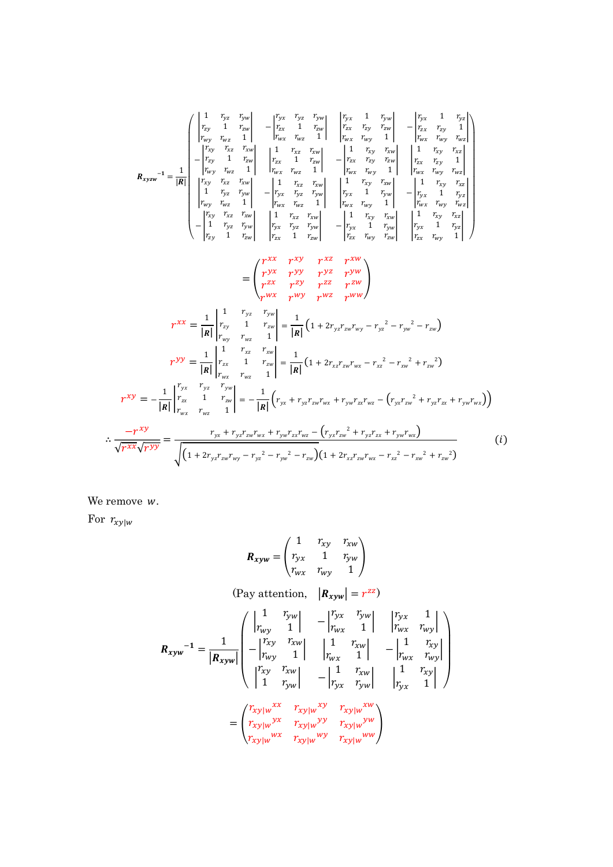$$
R_{xyzw} = \frac{1}{\begin{vmatrix} 1 & Y_{xy} & Y_{yy} \\ r_{xy} & 1 & r_{xy} \\ r_{xy} & r_{yz} & 1 \end{vmatrix}} - \frac{1}{\begin{vmatrix} Y_{yx} & Y_{xy} & Y_{yy} \\ r_{zx} & 1 & r_{xy} \\ r_{zx} & r_{xy} & 1 \end{vmatrix}} - \frac{1}{\begin{vmatrix} Y_{yy} & r_{yz} & 1 \\ r_{zx} & r_{xy} & 1 \end{vmatrix}} - \frac{1}{\begin{vmatrix} Y_{yy} & r_{xy} & 1 \\ r_{xy} & r_{xy} & 1 \end{vmatrix}} - \frac{1}{\begin{vmatrix} Y_{yy} & r_{xy} & 1 \\ r_{xy} & r_{xy} & 1 \end{vmatrix}} - \frac{1}{\begin{vmatrix} Y_{yy} & r_{xy} & 1 \\ r_{xy} & r_{xy} & 1 \end{vmatrix}} - \frac{1}{\begin{vmatrix} Y_{yy} & r_{xy} & r_{xy} \\ r_{yx} & r_{yy} & 1 \end{vmatrix}} - \frac{1}{\begin{vmatrix} Y_{yy} & r_{xy} & r_{xy} \\ r_{yx} & r_{yy} & 1 \end{vmatrix}} - \frac{1}{\begin{vmatrix} Y_{yy} & r_{xy} & r_{xy} \\ r_{yx} & r_{yy} & 1 \end{vmatrix}} - \frac{1}{\begin{vmatrix} Y_{yy} & r_{xy} & r_{xy} \\ r_{yx} & r_{yy} & 1 \end{vmatrix}} - \frac{1}{\begin{vmatrix} Y_{yy} & r_{xy} \\ r_{yx} & r_{yy} & 1 \end{vmatrix}} - \frac{1}{\begin{vmatrix} Y_{yy} & r_{xy} \\ r_{yx} & r_{yy} & 1 \end{vmatrix}} - \frac{1}{\begin{vmatrix} Y_{yy} & r_{xy} \\ r_{yx} & r_{yy} & 1 \end{vmatrix}} - \frac{1}{\begin{vmatrix} Y_{yy} & r_{xy} \\ r_{yx} & r_{yy} & 1 \end{vmatrix}} - \frac{1}{\begin{vmatrix} Y_{yy} & r_{xy} \\ r_{yx} & r_{yy} & 1 \end{vmatrix}} - \frac{1}{\begin{vmatrix} Y_{yy} & r_{xy} \\ r_{yx} & r_{yy} & 1 \end{vmatrix}} - \frac{1}{\begin{vmatrix} Y_{yy} & r_{xy} \\ r_{yx} & r_{yy} & 1 \end{vmatrix}} - \frac{1}{\begin
$$

We remove  $w$ .

For  $r_{xy|w}$ 

$$
R_{xyw} = \begin{pmatrix} 1 & r_{xy} & r_{xw} \\ r_{yx} & 1 & r_{yw} \\ r_{wx} & r_{wy} & 1 \end{pmatrix}
$$
  
\n(Pay attention,  $|R_{xyw}| = r^{zz}$ )  
\n
$$
R_{xyw}^{-1} = \frac{1}{|R_{xyw}|} \begin{pmatrix} \left| \frac{1}{r_{wy}} - \frac{r_{yw}}{1} \right| & -\left| \frac{r_{yx}}{r_{wx}} - \frac{r_{yw}}{1} \right| & \left| \frac{r_{yx}}{r_{wx}} - \frac{1}{r_{wy}} \right| \\ -\left| \frac{r_{xy}}{r_{wy}} - \frac{r_{xw}}{1} \right| & \left| \frac{1}{r_{wx}} - \frac{r_{xw}}{1} \right| & -\left| \frac{1}{r_{wx}} - \frac{r_{xy}}{r_{wy}} \right| \\ \left| \frac{r_{xy}}{1} - \frac{r_{xy}}{r_{yw}} - \frac{r_{xy}}{1} \right| & \left| \frac{1}{r_{yx}} - \frac{r_{xy}}{1} \right| \end{pmatrix}
$$
\n
$$
= \begin{pmatrix} r_{xy|w}^{xx} & r_{xy|w}^{xy} & r_{xy|w}^{xy} \\ r_{xy|w}^{yx} & r_{xy|w}^{yy} & r_{xy|w}^{ww} \\ r_{xy|w}^{wx} & r_{xy|w}^{wy} & r_{xy|w}^{ww} \end{pmatrix}
$$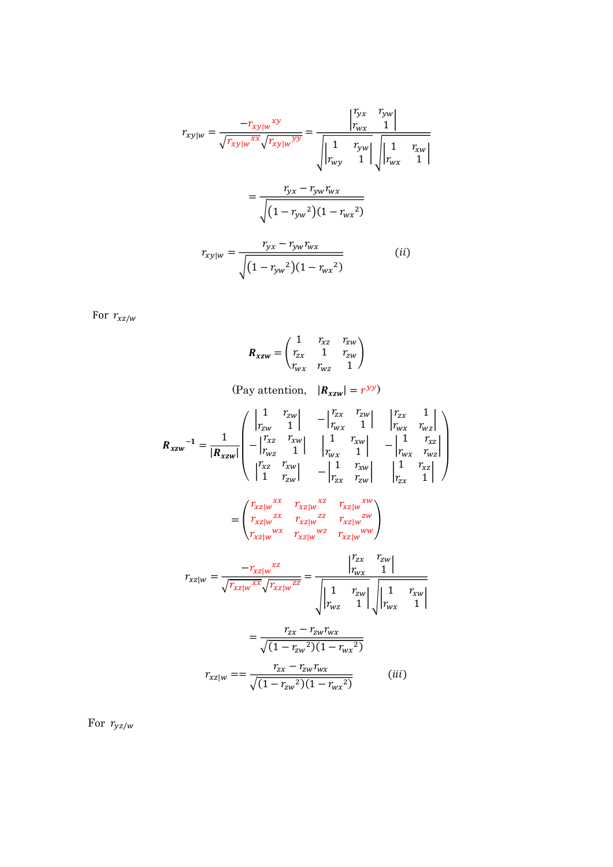$$
r_{xy|w} = \frac{-r_{xy|w}^{xy}}{\sqrt{r_{xy|w}^{xx}}\sqrt{r_{xy|w}^{yy}}} = \frac{\begin{vmatrix} r_{yx} & r_{yw} \\ r_{wx} & 1 \end{vmatrix}}{\sqrt{\begin{vmatrix} 1 & r_{yw} \\ r_{wy} & 1 \end{vmatrix}}\sqrt{\begin{vmatrix} 1 & r_{zw} \\ r_{wx} & 1 \end{vmatrix}}}
$$

$$
= \frac{r_{yx} - r_{yw}r_{wx}}{\sqrt{(1 - r_{yw}^2)(1 - r_{wx}^2)}}
$$

$$
r_{xy|w} = \frac{r_{yx} - r_{yw}r_{wx}}{\sqrt{(1 - r_{yw}^2)(1 - r_{wx}^2)}}
$$
(ii)

For  $r_{xz/w}$ 

$$
\boldsymbol{R}_{xzw} = \begin{pmatrix} 1 & r_{xz} & r_{xw} \\ r_{zx} & 1 & r_{zw} \\ r_{wx} & r_{wz} & 1 \end{pmatrix}
$$

(Pay attention,  $|R_{zzw}| = r^{yy}$ )

$$
R_{xzw}^{-1} = \frac{1}{|R_{xzw}|} \begin{pmatrix} \begin{vmatrix} 1 & r_{zw} \\ r_{zw} & 1 \end{vmatrix} & -\begin{vmatrix} r_{zx} & r_{zw} \\ r_{wx} & 1 \end{vmatrix} & \begin{vmatrix} r_{zx} & 1 \\ r_{wx} & r_{wz} \end{vmatrix} \\ -\begin{vmatrix} r_{xz} & r_{zw} \\ r_{wz} & 1 \end{vmatrix} & \begin{vmatrix} 1 & r_{zw} \\ r_{wx} & 1 \end{vmatrix} & -\begin{vmatrix} 1 & r_{xz} \\ r_{wx} & r_{wz} \end{vmatrix} \\ \begin{vmatrix} r_{xz} & r_{zw} \\ 1 & r_{zw} \end{vmatrix} & -\begin{vmatrix} 1 & r_{xw} \\ r_{zx} & r_{zw} \end{vmatrix} & \begin{vmatrix} 1 & r_{xz} \\ r_{zx} & 1 \end{vmatrix} \end{pmatrix}
$$

$$
= \begin{pmatrix} r_{xz|w}^{xx} & r_{xz|w}^{xz} & r_{xz|w}^{xw} \\ r_{xz|w}^{zx} & r_{xz|w}^{zz} & r_{xz|w}^{zw} \\ r_{xz|w}^{wx} & r_{xz|w}^{wx} & r_{xz|w}^{ww} \end{pmatrix}
$$

$$
r_{xz|w} = \frac{-r_{xz|w}^{xz}}{\sqrt{r_{xz|w}^{xx}}\sqrt{r_{xz|w}^{zz}}} = \frac{\begin{vmatrix} r_{zx} & r_{zw} \\ r_{wx} & 1 \end{vmatrix}}{\sqrt{\begin{vmatrix} 1 & r_{zw} \\ r_{wz} & 1 \end{vmatrix}}\sqrt{\begin{vmatrix} 1 & r_{zw} \\ r_{wx} & 1 \end{vmatrix}}}
$$

$$
= \frac{r_{zx} - r_{zw}r_{wx}}{\sqrt{(1 - r_{zw}^2)(1 - r_{wx}^2)}}
$$

$$
r_{xz|w} = \frac{r_{zx} - r_{zw}r_{wx}}{\sqrt{(1 - r_{zw}^2)(1 - r_{wx}^2)}}
$$
(iii)

For  $r_{yz/w}$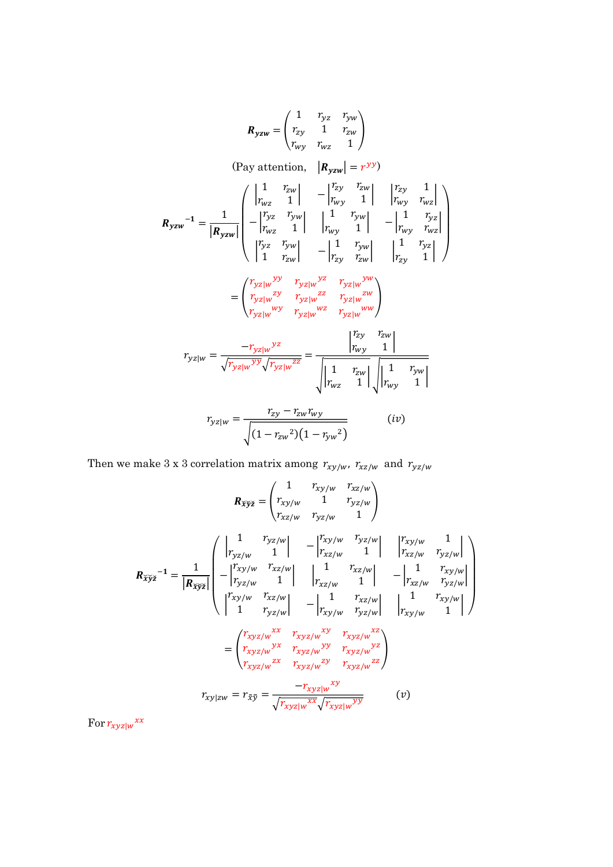$$
R_{yzw} = \begin{pmatrix} 1 & r_{yz} & r_{yw} \\ r_{zy} & 1 & r_{zw} \\ r_{wy} & r_{wz} & 1 \end{pmatrix}
$$
  
\n(Pay attention,  $|R_{yzw}| = r^{yy}$ )  
\n
$$
R_{yzw}^{-1} = \frac{1}{|R_{yzw}|} \begin{pmatrix} \left| \frac{1}{r_{wz}} - \frac{r_{zw}}{1} \right| & -\left| \frac{r_{zy}}{r_{wy}} - \frac{r_{zw}}{1} \right| & \left| \frac{r_{zy}}{r_{wy}} - \frac{r_{zy}}{1} \right| \\ -\left| \frac{r_{yz}}{r_{wz}} - \frac{r_{yw}}{1} \right| & \left| \frac{1}{r_{wy}} - \frac{r_{yw}}{1} \right| & -\left| \frac{1}{r_{wy}} - \frac{r_{yz}}{r_{zy}} \right| \\ \left| \frac{r_{yz}}{1} - \frac{r_{yz}}{r_{zy}} - \frac{r_{yz}}{r_{zy}} \right| & \left| \frac{1}{r_{zy}} - \frac{r_{yz}}{1} \right| \end{pmatrix}
$$
\n
$$
= \begin{pmatrix} \frac{r_{yz}}{r_{yz}} & \frac{r_{yz}}{r_{yz}} & \frac{r_{yz}}{r_{yz}} \\ \frac{r_{yz}}{r_{yz}} & \frac{r_{yz}}{r_{yz}} & \frac{r_{zx}}{r_{yz}} \\ \frac{r_{zy}}{r_{yz}} & \frac{r_{zy}}{r_{yz}} & \frac{r_{zw}}{r_{wy}} \end{pmatrix}
$$
\n
$$
r_{yz} = \frac{-r_{yz}}{\sqrt{r_{yz}} \frac{r_{yz}}{r_{yz}} \sqrt{r_{yz}} \frac{r_{zx}}{r_{yz}} \sqrt{\frac{1}{r_{wy}} - \frac{r_{zw}}{1} \sqrt{\frac{1}{r_{wy}} - \frac{r_{yw}}{1} \sqrt{\frac{1}{r_{wy}} - \frac{r_{yw}}{1} \sqrt{\frac{1}{r_{wy}} - \frac{r_{zw}}{1} \sqrt{\frac{1}{r_{wy}} - \frac{r_{zw}}{1} \sqrt{\frac{1}{r_{wy}} - \frac{r_{zw}}{1} \sqrt{\frac{1}{r_{wy}} - \frac{r_{zw}}{1} \sqrt{\frac{1}{r_{wy}} - \frac{r_{zw}}{1} \sqrt{\frac{1}{r_{wy}} - \frac{
$$

Then we make 3 x 3 correlation matrix among  $r_{xy/w}$ ,  $r_{xz/w}$  and  $r_{yz/w}$ 

$$
R_{\tilde{X}\tilde{y}\tilde{z}} = \begin{pmatrix} 1 & r_{xy/w} & r_{xz/w} \\ r_{xy/w} & 1 & r_{yz/w} \\ r_{xz/w} & r_{yz/w} & 1 \end{pmatrix}
$$
  
\n
$$
R_{\tilde{X}\tilde{y}\tilde{z}} = \frac{1}{|R_{\tilde{X}\tilde{y}\tilde{z}}|} \begin{pmatrix} \frac{1}{|r_{yz/w} - r_{yz/w}|} & \frac{1}{|r_{xz/w} - r_{yz/w}|} \\ -\frac{1}{|r_{yz/w} - r_{xz/w}|} & \frac{1}{|r_{xz/w} - r_{yz/w}|} & \frac{1}{|r_{xz/w} - r_{yz/w}|} \\ -\frac{1}{|r_{xy/w} - r_{yz/w}|} & \frac{1}{|r_{xz/w} - r_{yz/w}|} & \frac{1}{|r_{xz/w} - r_{yz/w}|} \\ \frac{1}{|r_{xy/w} - r_{yz/w}|} & \frac{1}{|r_{xy/w} - r_{yz/w}|} & \frac{1}{|r_{xy/w} - r_{xy/w}|} \end{pmatrix}
$$
  
\n
$$
= \begin{pmatrix} r_{xyz/w}^{rx} & r_{xyz/w}^{rx} & r_{xyz/w}^{rx} \\ r_{xyz/w}^{rx} & r_{xyz/w}^{ry} & r_{xyz/w}^{rz} \\ r_{xyz/w}^{zx} & r_{xyz/w}^{zy} & r_{xyz/w}^{zz} \end{pmatrix}
$$
  
\n
$$
r_{xy|zw} = r_{\tilde{x}\bar{y}} = \frac{-r_{xyz|w}^{xy}}{\sqrt{r_{xyz|w}^{xx} \sqrt{r_{xyz|w}^{yy}}}} \qquad (v)
$$

For  $r_{xyz|w}$ <sup>xx</sup>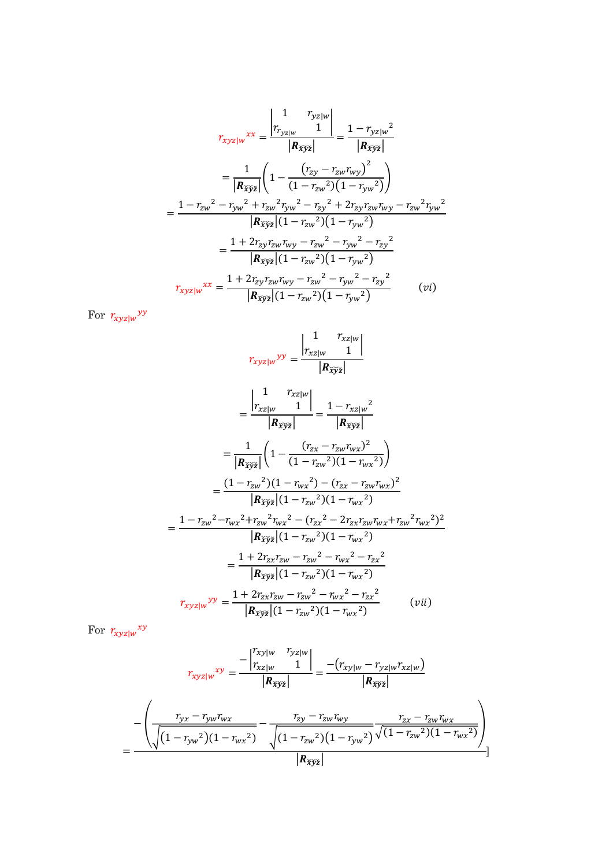$$
r_{xyz|w}xx = \frac{\begin{vmatrix} 1 & r_{yz|w} \\ r_{yz|w} & 1 \end{vmatrix}}{\begin{vmatrix} R_{\tilde{xy}z} \end{vmatrix}} = \frac{1 - r_{yz|w}^2}{\begin{vmatrix} R_{\tilde{xy}z} \end{vmatrix}}
$$

$$
= \frac{1}{\begin{vmatrix} R_{\tilde{xy}z} \end{vmatrix}} \left( 1 - \frac{(r_{zy} - r_{zw}r_{wy})^2}{(1 - r_{zw}^2)(1 - r_{yw}^2)} \right)
$$

$$
= \frac{1 - r_{zw}^2 - r_{yw}^2 + r_{zw}^2 r_{yw}^2 - r_{zy}^2 + 2r_{zy}r_{zw}r_{wy} - r_{zw}^2 r_{yw}^2}{\begin{vmatrix} R_{\tilde{xy}z} \end{vmatrix} (1 - r_{zw}^2)(1 - r_{yw}^2)} = \frac{1 + 2r_{zy}r_{zw}r_{wy} - r_{zw}^2 - r_{zy}^2}{\begin{vmatrix} R_{\tilde{xy}z} \end{vmatrix} (1 - r_{zw}^2)(1 - r_{yw}^2)}
$$

$$
r_{xyz|w}xx = \frac{1 + 2r_{zy}r_{zw}r_{wy} - r_{zw}^2 - r_{yw}^2 - r_{zy}^2}{\begin{vmatrix} R_{\tilde{xy}z} \end{vmatrix} (1 - r_{zw}^2)(1 - r_{yw}^2)} \qquad (vi)
$$

For  $r_{xyz|w}$ <sup>yy</sup>

$$
r_{xyz|w} yy = \frac{\begin{vmatrix} 1 & r_{xz|w} \\ r_{xz|w} & 1 \end{vmatrix}}{\begin{vmatrix} R_{\tilde{xy}z} \end{vmatrix}} \\
= \frac{\begin{vmatrix} 1 & r_{xz|w} \\ r_{xz|w} & 1 \end{vmatrix}}{\begin{vmatrix} R_{\tilde{xy}z} \end{vmatrix}} = \frac{1 - r_{xz|w}^2}{\begin{vmatrix} R_{\tilde{xy}z} \end{vmatrix}} \\
= \frac{1}{\begin{vmatrix} R_{\tilde{xy}z} \end{vmatrix}} \left( 1 - \frac{(r_{zx} - r_{zw}r_{wx})^2}{(1 - r_{zw}^2)(1 - r_{wx}^2)} \right) \\
= \frac{(1 - r_{zw}^2)(1 - r_{wx}^2) - (r_{zx} - r_{zw}r_{wx})^2}{\begin{vmatrix} R_{\tilde{xy}z} \end{vmatrix} (1 - r_{zw}^2)(1 - r_{wx}^2)} \\
= \frac{1 - r_{zw}^2 - r_{wx}^2 + r_{zw}^2 r_{wx}^2 - (r_{zx}^2 - 2r_{zx}r_{zw}r_{wx} + r_{zw}^2 r_{wx}^2)^2}{\begin{vmatrix} R_{\tilde{xy}z} \end{vmatrix} (1 - r_{zw}^2)(1 - r_{wx}^2)} \\
= \frac{1 + 2r_{zx}r_{zw} - r_{zw}^2 - r_{wx}^2 - r_{zx}^2}{\begin{vmatrix} R_{\tilde{xy}z} \end{vmatrix} (1 - r_{zw}^2)(1 - r_{wx}^2)} \\
r_{xyz|w} yy = \frac{1 + 2r_{zx}r_{zw} - r_{zw}^2 - r_{wx}^2 - r_{zx}^2}{\begin{vmatrix} R_{\tilde{xy}z} \end{vmatrix} (1 - r_{zw}^2)(1 - r_{wx}^2)}\n\tag{vii}
$$

For  $r_{xyz|w}^{xy}$ 

$$
r_{xyz|w}^{x} = \frac{-\begin{vmatrix} r_{xy|w} & r_{yz|w} \\ r_{xz|w} & 1 \end{vmatrix}}{\begin{vmatrix} R_{\tilde{x}\tilde{y}\tilde{z}} \end{vmatrix}} = \frac{-(r_{xy|w} - r_{yz|w}r_{xz|w})}{\begin{vmatrix} R_{\tilde{x}\tilde{y}\tilde{z}} \end{vmatrix}}}{\begin{vmatrix} r_{yx} - r_{yw}r_{wx} \\ \sqrt{(1 - r_{yw}^2)(1 - r_{wx}^2)} \end{vmatrix}} - \frac{r_{zy} - r_{zw}r_{wy}}{\sqrt{(1 - r_{zw}^2)(1 - r_{yw}^2)(1 - r_{yw}^2)(1 - r_{wx}^2)}} \frac{r_{zx} - r_{zw}r_{wx}}{\sqrt{(1 - r_{zw}^2)(1 - r_{wx}^2)}}}{\begin{vmatrix} R_{\tilde{x}\tilde{y}\tilde{z}} \end{vmatrix}}
$$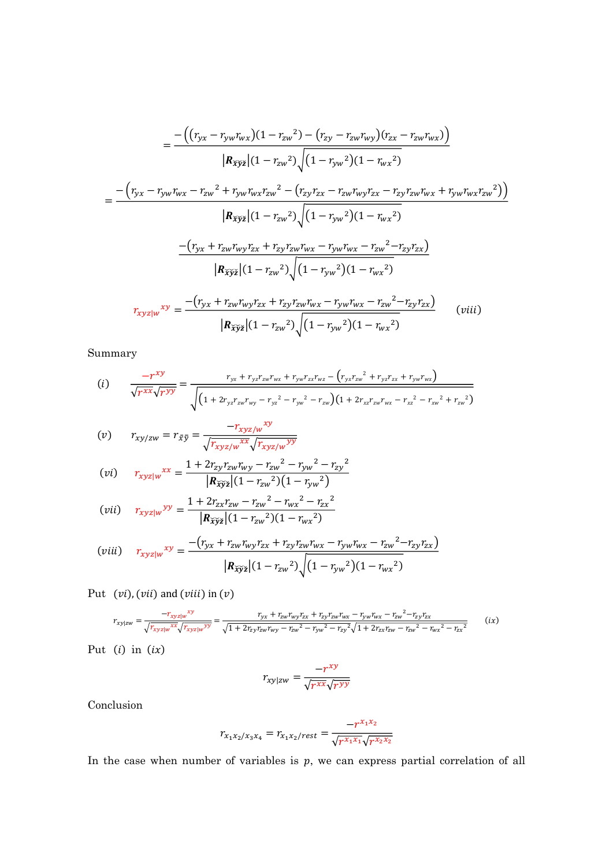$$
= \frac{-\left((r_{yx} - r_{yw}r_{wx})(1 - r_{zw}^2) - (r_{zy} - r_{zw}r_{wy})(r_{zx} - r_{zw}r_{wx})\right)}{|R_{\tilde{x}\tilde{y}\tilde{z}}|(1 - r_{zw}^2)\sqrt{(1 - r_{yw}^2)(1 - r_{wx}^2)}}
$$
\n
$$
= \frac{-\left(r_{yx} - r_{yw}r_{wx} - r_{zw}^2 + r_{yw}r_{wx}r_{zw}^2 - (r_{zy}r_{zx} - r_{zw}r_{wy}r_{zx} - r_{zy}r_{zw}r_{wx} + r_{yw}r_{wx}r_{zw}^2)\right)}{|R_{\tilde{x}\tilde{y}\tilde{z}}|(1 - r_{zw}^2)\sqrt{(1 - r_{yw}^2)(1 - r_{wx}^2)}
$$
\n
$$
\frac{-\left(r_{yx} + r_{zw}r_{wy}r_{zx} + r_{zy}r_{zw}r_{wx} - r_{yw}r_{wx} - r_{zw}^2 - r_{zy}r_{zx}\right)}{|R_{\tilde{x}\tilde{y}\tilde{z}}|(1 - r_{zw}^2)\sqrt{(1 - r_{yw}^2)(1 - r_{wx}^2)}}
$$
\n
$$
r_{xyz|w}xy = \frac{-\left(r_{yx} + r_{zw}r_{wy}r_{zx} + r_{zy}r_{zw}r_{wx} - r_{yw}r_{wx} - r_{zw}^2 - r_{zy}r_{zx}\right)}{|R_{\tilde{x}\tilde{y}\tilde{z}}|(1 - r_{zw}^2)\sqrt{(1 - r_{yw}^2)(1 - r_{wx}^2)}}
$$
\n
$$
(viii)
$$

Summary

$$
(i) \qquad \frac{-r^{xy}}{\sqrt{r^{xx}}\sqrt{r^{yy}}} = \frac{r_{yx} + r_{yz}r_{xw}r_{wx} + r_{yw}r_{zx}r_{wz} - (r_{yx}r_{zw}^2 + r_{yz}r_{zx} + r_{yw}r_{wx})}{\sqrt{\left(1 + 2r_{yz}r_{zw}r_{wy} - r_{yz}^2 - r_{yw}^2 - r_{zw}\right)\left(1 + 2r_{xz}r_{zw}r_{wx} - r_{xz}^2 - r_{zw}^2 + r_{zw}^2\right)}}
$$

$$
(v) \qquad r_{xy/zw} = r_{\bar{x}\bar{y}} = \frac{-r_{xyz/w}^{xy}}{\sqrt{r_{xyz/w}^{xx}} \sqrt{r_{xyz/w}^{yy}}}
$$

$$
(vi) \t r_{xyz|w}^{xx} = \frac{1 + 2r_{zy}r_{zw}r_{wy} - r_{zw}^2 - r_{yw}^2 - r_{zy}^2}{|R_{\tilde{x}\tilde{y}\tilde{z}}|(1 - r_{zw}^2)(1 - r_{yw}^2)}
$$

(vii) 
$$
r_{xyz|w}^{y} = \frac{1 + 2r_{zx}r_{zw} - r_{zw}^2 - r_{wx}^2 - r_{zx}^2}{|\mathbf{R}_{\tilde{x}\tilde{y}\tilde{z}}|(1 - r_{zw}^2)(1 - r_{wx}^2)}
$$

$$
(viii) \t r_{xyz|w}^{xy} = \frac{-\left(r_{yx} + r_{zw}r_{wy}r_{zx} + r_{zy}r_{zw}r_{wx} - r_{yw}r_{wx} - r_{zw}^2 - r_{zy}r_{zx}\right)}{\left|\mathbf{R}_{\tilde{x}\tilde{y}\tilde{z}}\right|\left(1 - r_{zw}^2\right)\sqrt{\left(1 - r_{yw}^2\right)\left(1 - r_{wx}^2\right)}}
$$

Put  $(vi)$ ,  $(vii)$  and  $(viii)$  in  $(v)$ 

$$
r_{xy|zw} = \frac{-r_{xyz|w}^{xy}}{\sqrt{r_{xyz|w}^{xx}}\sqrt{r_{xyz|w}^{yy}}} = \frac{r_{yx} + r_{zw}r_{wy}r_{zx} + r_{zy}r_{zw}r_{wx} - r_{yw}r_{wx} - r_{zw}r_{zx}}{\sqrt{1 + 2r_{zy}r_{zw}r_{wy} - r_{zw}^2 - r_{zy}^2\sqrt{1 + 2r_{zx}r_{zw} - r_{zw}^2 - r_{wx}^2 - r_{zx}^2}}
$$
(ix)

Put  $(i)$  in  $(ix)$ 

$$
r_{xy|zw} = \frac{-r^{xy}}{\sqrt{r^{xx}}\sqrt{r^{yy}}}
$$

Conclusion

$$
r_{x_1x_2/x_3x_4} = r_{x_1x_2/rest} = \frac{-r^{x_1x_2}}{\sqrt{r^{x_1x_1}}\sqrt{r^{x_2x_2}}}
$$

In the case when number of variables is  $p$ , we can express partial correlation of all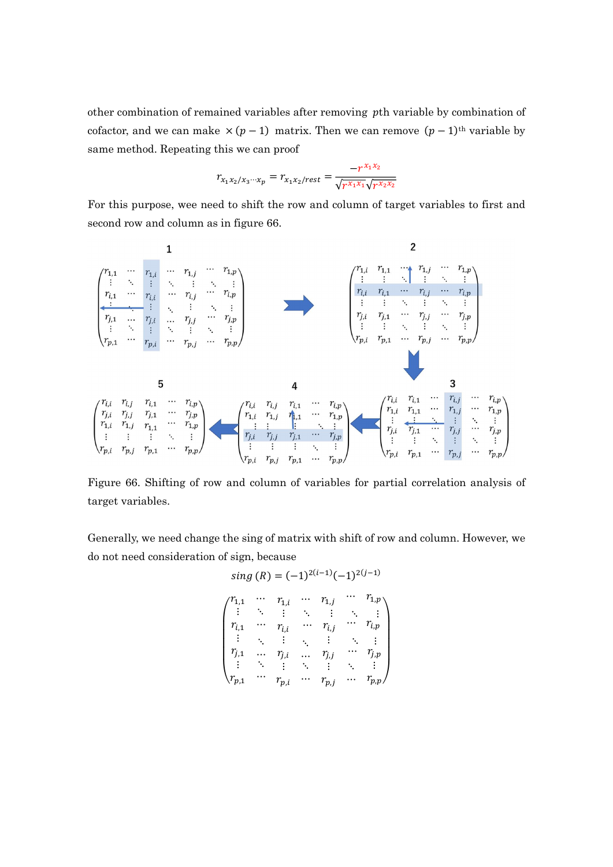other combination of remained variables after removing pth variable by combination of cofactor, and we can make  $\times (p-1)$  matrix. Then we can remove  $(p-1)$ <sup>th</sup> variable by same method. Repeating this we can proof

$$
r_{x_1x_2/x_3\cdots x_p} = r_{x_1x_2/rest} = \frac{-r^{x_1x_2}}{\sqrt{r^{x_1x_1}}\sqrt{r^{x_2x_2}}}
$$

For this purpose, wee need to shift the row and column of target variables to first and second row and column as in figure 66.



Figure 66. Shifting of row and column of variables for partial correlation analysis of target variables.

Generally, we need change the sing of matrix with shift of row and column. However, we do not need consideration of sign, because

sing (R) = 
$$
(-1)^{2(i-1)}(-1)^{2(j-1)}
$$
  
\n
$$
\begin{pmatrix}\nr_{1,1} & \cdots & r_{1,i} & \cdots & r_{1,j} & \cdots & r_{1,p} \\
\vdots & \ddots & \vdots & \ddots & \vdots & \ddots & \vdots \\
r_{i,1} & \cdots & r_{i,i} & \cdots & r_{i,j} & \cdots & r_{i,p} \\
\vdots & \ddots & \vdots & \ddots & \vdots & \ddots & \vdots \\
r_{j,1} & \cdots & r_{j,i} & \cdots & r_{j,j} & \cdots & r_{j,p} \\
\vdots & \ddots & \vdots & \ddots & \vdots & \ddots & \vdots \\
r_{p,1} & \cdots & r_{p,i} & \cdots & r_{p,j} & \cdots & r_{p,p}\n\end{pmatrix}
$$